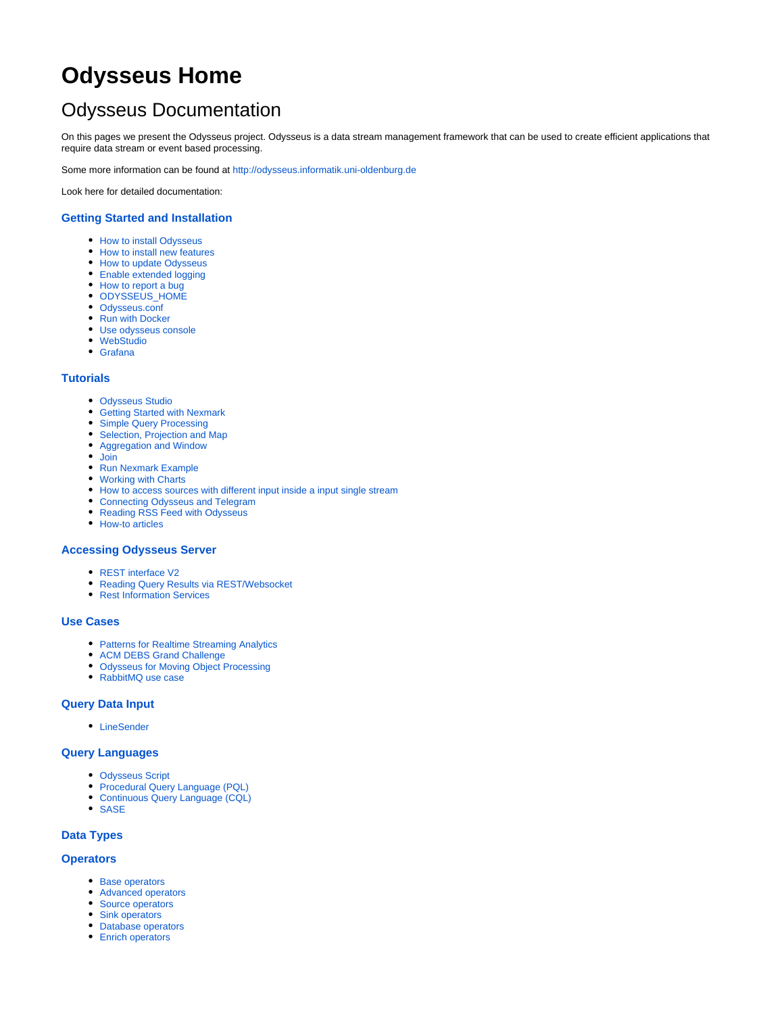# **Odysseus Home**

# Odysseus Documentation

On this pages we present the Odysseus project. Odysseus is a data stream management framework that can be used to create efficient applications that require data stream or event based processing.

Some more information can be found at <http://odysseus.informatik.uni-oldenburg.de>

Look here for detailed documentation:

### **[Getting Started and Installation](https://wiki.odysseus.informatik.uni-oldenburg.de/display/ODYSSEUS/Getting+Started+and+Installation)**

- [How to install Odysseus](https://wiki.odysseus.informatik.uni-oldenburg.de/display/ODYSSEUS/How+to+install+Odysseus)
- [How to install new features](https://wiki.odysseus.informatik.uni-oldenburg.de/display/ODYSSEUS/How+to+install+new+features)
- [How to update Odysseus](https://wiki.odysseus.informatik.uni-oldenburg.de/display/ODYSSEUS/How+to+update+Odysseus)
- [Enable extended logging](https://wiki.odysseus.informatik.uni-oldenburg.de/display/ODYSSEUS/Enable+extended+logging)
- [How to report a bug](https://wiki.odysseus.informatik.uni-oldenburg.de/display/ODYSSEUS/How+to+report+a+bug)
- [ODYSSEUS\\_HOME](https://wiki.odysseus.informatik.uni-oldenburg.de/display/ODYSSEUS/ODYSSEUS_HOME)
- [Odysseus.conf](https://wiki.odysseus.informatik.uni-oldenburg.de/display/ODYSSEUS/Odysseus.conf)
- [Run with Docker](https://wiki.odysseus.informatik.uni-oldenburg.de/display/ODYSSEUS/Run+with+Docker)
- [Use odysseus console](https://wiki.odysseus.informatik.uni-oldenburg.de/display/ODYSSEUS/Use+odysseus+console)
- [WebStudio](https://wiki.odysseus.informatik.uni-oldenburg.de/display/ODYSSEUS/WebStudio)
- [Grafana](https://wiki.odysseus.informatik.uni-oldenburg.de/display/ODYSSEUS/Grafana)

### **[Tutorials](https://wiki.odysseus.informatik.uni-oldenburg.de/display/ODYSSEUS/Tutorials)**

- [Odysseus Studio](https://wiki.odysseus.informatik.uni-oldenburg.de/display/ODYSSEUS/Odysseus+Studio)
- [Getting Started with Nexmark](https://wiki.odysseus.informatik.uni-oldenburg.de/display/ODYSSEUS/Getting+Started+with+Nexmark)
- [Simple Query Processing](https://wiki.odysseus.informatik.uni-oldenburg.de/display/ODYSSEUS/Simple+Query+Processing)
- [Selection, Projection and Map](https://wiki.odysseus.informatik.uni-oldenburg.de/display/ODYSSEUS/Selection%2C+Projection+and+Map)
- [Aggregation and Window](https://wiki.odysseus.informatik.uni-oldenburg.de/display/ODYSSEUS/Aggregation+and+Window)
- [Join](https://wiki.odysseus.informatik.uni-oldenburg.de/display/ODYSSEUS/Join)
- [Run Nexmark Example](https://wiki.odysseus.informatik.uni-oldenburg.de/display/ODYSSEUS/Run+Nexmark+Example)
- [Working with Charts](https://wiki.odysseus.informatik.uni-oldenburg.de/display/ODYSSEUS/Working+with+Charts)
- [How to access sources with different input inside a input single stream](https://wiki.odysseus.informatik.uni-oldenburg.de/display/ODYSSEUS/How+to+access+sources+with+different+input+inside+a+input+single+stream)
- [Connecting Odysseus and Telegram](https://wiki.odysseus.informatik.uni-oldenburg.de/display/ODYSSEUS/Connecting+Odysseus+and+Telegram)
- [Reading RSS Feed with Odysseus](https://wiki.odysseus.informatik.uni-oldenburg.de/display/ODYSSEUS/Reading+RSS+Feed+with+Odysseus)
- [How-to articles](https://wiki.odysseus.informatik.uni-oldenburg.de/display/ODYSSEUS/How-to+articles)

### **[Accessing Odysseus Server](https://wiki.odysseus.informatik.uni-oldenburg.de/display/ODYSSEUS/Accessing+Odysseus+Server)**

- [REST interface V2](https://wiki.odysseus.informatik.uni-oldenburg.de/display/ODYSSEUS/REST+interface+V2)
- [Reading Query Results via REST/Websocket](https://wiki.odysseus.informatik.uni-oldenburg.de/pages/viewpage.action?pageId=56000940)
- [Rest Information Services](https://wiki.odysseus.informatik.uni-oldenburg.de/display/ODYSSEUS/Rest+Information+Services)

### **[Use Cases](https://wiki.odysseus.informatik.uni-oldenburg.de/display/ODYSSEUS/Use+Cases)**

- [Patterns for Realtime Streaming Analytics](https://wiki.odysseus.informatik.uni-oldenburg.de/display/ODYSSEUS/Patterns+for+Realtime+Streaming+Analytics)
- [ACM DEBS Grand Challenge](https://wiki.odysseus.informatik.uni-oldenburg.de/display/ODYSSEUS/ACM+DEBS+Grand+Challenge)
- [Odysseus for Moving Object Processing](https://wiki.odysseus.informatik.uni-oldenburg.de/display/ODYSSEUS/Odysseus+for+Moving+Object+Processing)
- [RabbitMQ use case](https://wiki.odysseus.informatik.uni-oldenburg.de/display/ODYSSEUS/RabbitMQ+use+case)

### **[Query Data Input](https://wiki.odysseus.informatik.uni-oldenburg.de/display/ODYSSEUS/Query+Data+Input)**

[LineSender](https://wiki.odysseus.informatik.uni-oldenburg.de/display/ODYSSEUS/LineSender)

### **[Query Languages](https://wiki.odysseus.informatik.uni-oldenburg.de/display/ODYSSEUS/Query+Languages)**

- [Odysseus Script](https://wiki.odysseus.informatik.uni-oldenburg.de/display/ODYSSEUS/Odysseus+Script)
- [Procedural Query Language \(PQL\)](https://wiki.odysseus.informatik.uni-oldenburg.de/pages/viewpage.action?pageId=4587829)
- [Continuous Query Language \(CQL\)](https://wiki.odysseus.informatik.uni-oldenburg.de/pages/viewpage.action?pageId=4587831) • [SASE](https://wiki.odysseus.informatik.uni-oldenburg.de/display/ODYSSEUS/SASE)
- 

### **[Data Types](https://wiki.odysseus.informatik.uni-oldenburg.de/display/ODYSSEUS/Data+Types)**

### **[Operators](https://wiki.odysseus.informatik.uni-oldenburg.de/display/ODYSSEUS/Operators)**

- [Base operators](https://wiki.odysseus.informatik.uni-oldenburg.de/display/ODYSSEUS/Base+operators)
- [Advanced operators](https://wiki.odysseus.informatik.uni-oldenburg.de/display/ODYSSEUS/Advanced+operators)
- [Source operators](https://wiki.odysseus.informatik.uni-oldenburg.de/display/ODYSSEUS/Source+operators)
- [Sink operators](https://wiki.odysseus.informatik.uni-oldenburg.de/display/ODYSSEUS/Sink+operators)
- [Database operators](https://wiki.odysseus.informatik.uni-oldenburg.de/display/ODYSSEUS/Database+operators) **[Enrich operators](https://wiki.odysseus.informatik.uni-oldenburg.de/display/ODYSSEUS/Enrich+operators)**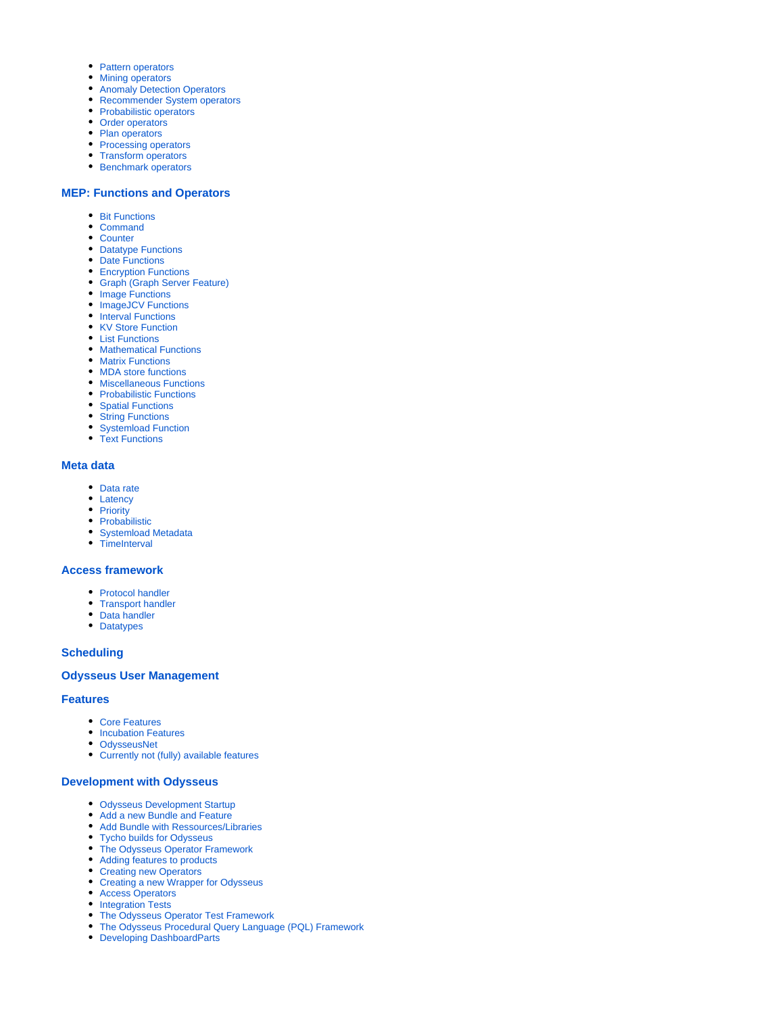- [Pattern operators](https://wiki.odysseus.informatik.uni-oldenburg.de/display/ODYSSEUS/Pattern+operators)
- [Mining operators](https://wiki.odysseus.informatik.uni-oldenburg.de/display/ODYSSEUS/Mining+operators)
- [Anomaly Detection Operators](https://wiki.odysseus.informatik.uni-oldenburg.de/display/ODYSSEUS/Anomaly+Detection+Operators)
- [Recommender System operators](https://wiki.odysseus.informatik.uni-oldenburg.de/display/ODYSSEUS/Recommender+System+operators)
- [Probabilistic operators](https://wiki.odysseus.informatik.uni-oldenburg.de/display/ODYSSEUS/Probabilistic+operators)
- [Order operators](https://wiki.odysseus.informatik.uni-oldenburg.de/display/ODYSSEUS/Order+operators)
- [Plan operators](https://wiki.odysseus.informatik.uni-oldenburg.de/display/ODYSSEUS/Plan+operators)
- [Processing operators](https://wiki.odysseus.informatik.uni-oldenburg.de/display/ODYSSEUS/Processing+operators) • [Transform operators](https://wiki.odysseus.informatik.uni-oldenburg.de/display/ODYSSEUS/Transform+operators)
- **[Benchmark operators](https://wiki.odysseus.informatik.uni-oldenburg.de/display/ODYSSEUS/Benchmark+operators)**

## **[MEP: Functions and Operators](https://wiki.odysseus.informatik.uni-oldenburg.de/display/ODYSSEUS/MEP%3A+Functions+and+Operators)**

- [Bit Functions](https://wiki.odysseus.informatik.uni-oldenburg.de/display/ODYSSEUS/Bit+Functions)
- [Command](https://wiki.odysseus.informatik.uni-oldenburg.de/display/ODYSSEUS/Command)
- [Counter](https://wiki.odysseus.informatik.uni-oldenburg.de/display/ODYSSEUS/Counter)
- [Datatype Functions](https://wiki.odysseus.informatik.uni-oldenburg.de/display/ODYSSEUS/Datatype+Functions)
- [Date Functions](https://wiki.odysseus.informatik.uni-oldenburg.de/display/ODYSSEUS/Date+Functions)
- [Encryption Functions](https://wiki.odysseus.informatik.uni-oldenburg.de/display/ODYSSEUS/Encryption+Functions)
- [Graph \(Graph Server Feature\)](https://wiki.odysseus.informatik.uni-oldenburg.de/pages/viewpage.action?pageId=23626723)
- [Image Functions](https://wiki.odysseus.informatik.uni-oldenburg.de/display/ODYSSEUS/Image+Functions)
- [ImageJCV Functions](https://wiki.odysseus.informatik.uni-oldenburg.de/display/ODYSSEUS/ImageJCV+Functions)
- [Interval Functions](https://wiki.odysseus.informatik.uni-oldenburg.de/display/ODYSSEUS/Interval+Functions)
- [KV Store Function](https://wiki.odysseus.informatik.uni-oldenburg.de/display/ODYSSEUS/KV+Store+Function)
- [List Functions](https://wiki.odysseus.informatik.uni-oldenburg.de/display/ODYSSEUS/List+Functions)
- [Mathematical Functions](https://wiki.odysseus.informatik.uni-oldenburg.de/display/ODYSSEUS/Mathematical+Functions)
- [Matrix Functions](https://wiki.odysseus.informatik.uni-oldenburg.de/display/ODYSSEUS/Matrix+Functions)
- [MDA store functions](https://wiki.odysseus.informatik.uni-oldenburg.de/display/ODYSSEUS/MDA+store+functions)
- **[Miscellaneous Functions](https://wiki.odysseus.informatik.uni-oldenburg.de/display/ODYSSEUS/Miscellaneous+Functions)** • [Probabilistic Functions](https://wiki.odysseus.informatik.uni-oldenburg.de/display/ODYSSEUS/Probabilistic+Functions)
- [Spatial Functions](https://wiki.odysseus.informatik.uni-oldenburg.de/display/ODYSSEUS/Spatial+Functions)
- [String Functions](https://wiki.odysseus.informatik.uni-oldenburg.de/display/ODYSSEUS/String+Functions)
- [Systemload Function](https://wiki.odysseus.informatik.uni-oldenburg.de/display/ODYSSEUS/Systemload+Function)
- [Text Functions](https://wiki.odysseus.informatik.uni-oldenburg.de/display/ODYSSEUS/Text+Functions)

### **[Meta data](https://wiki.odysseus.informatik.uni-oldenburg.de/display/ODYSSEUS/Meta+data)**

- [Data rate](https://wiki.odysseus.informatik.uni-oldenburg.de/display/ODYSSEUS/Data+rate)
- [Latency](https://wiki.odysseus.informatik.uni-oldenburg.de/display/ODYSSEUS/Latency)
- [Priority](https://wiki.odysseus.informatik.uni-oldenburg.de/display/ODYSSEUS/Priority)
- [Probabilistic](https://wiki.odysseus.informatik.uni-oldenburg.de/display/ODYSSEUS/Probabilistic)
- [Systemload Metadata](https://wiki.odysseus.informatik.uni-oldenburg.de/display/ODYSSEUS/Systemload+Metadata) • [TimeInterval](https://wiki.odysseus.informatik.uni-oldenburg.de/display/ODYSSEUS/TimeInterval)
- 

### **[Access framework](https://wiki.odysseus.informatik.uni-oldenburg.de/display/ODYSSEUS/Access+framework)**

- [Protocol handler](https://wiki.odysseus.informatik.uni-oldenburg.de/display/ODYSSEUS/Protocol+handler)
- [Transport handler](https://wiki.odysseus.informatik.uni-oldenburg.de/display/ODYSSEUS/Transport+handler)
- [Data handler](https://wiki.odysseus.informatik.uni-oldenburg.de/display/ODYSSEUS/Data+handler)
- [Datatypes](https://wiki.odysseus.informatik.uni-oldenburg.de/display/ODYSSEUS/Datatypes)

### **[Scheduling](https://wiki.odysseus.informatik.uni-oldenburg.de/display/ODYSSEUS/Scheduling)**

### **[Odysseus User Management](https://wiki.odysseus.informatik.uni-oldenburg.de/display/ODYSSEUS/Odysseus+User+Management)**

### **[Features](https://wiki.odysseus.informatik.uni-oldenburg.de/display/ODYSSEUS/Features)**

- [Core Features](https://wiki.odysseus.informatik.uni-oldenburg.de/display/ODYSSEUS/Core+Features)
- **[Incubation Features](https://wiki.odysseus.informatik.uni-oldenburg.de/display/ODYSSEUS/Incubation+Features)**
- [OdysseusNet](https://wiki.odysseus.informatik.uni-oldenburg.de/display/ODYSSEUS/OdysseusNet)
- [Currently not \(fully\) available features](https://wiki.odysseus.informatik.uni-oldenburg.de/display/ODYSSEUS/Currently+not+%28fully%29+available+features)

### **[Development with Odysseus](https://wiki.odysseus.informatik.uni-oldenburg.de/display/ODYSSEUS/Development+with+Odysseus)**

- [Odysseus Development Startup](https://wiki.odysseus.informatik.uni-oldenburg.de/display/ODYSSEUS/Odysseus+Development+Startup)
- [Add a new Bundle and Feature](https://wiki.odysseus.informatik.uni-oldenburg.de/display/ODYSSEUS/Add+a+new+Bundle+and+Feature)
- [Add Bundle with Ressources/Libraries](https://wiki.odysseus.informatik.uni-oldenburg.de/pages/viewpage.action?pageId=56000913)
- [Tycho builds for Odysseus](https://wiki.odysseus.informatik.uni-oldenburg.de/display/ODYSSEUS/Tycho+builds+for+Odysseus)
- [The Odysseus Operator Framework](https://wiki.odysseus.informatik.uni-oldenburg.de/display/ODYSSEUS/The+Odysseus+Operator+Framework)
- [Adding features to products](https://wiki.odysseus.informatik.uni-oldenburg.de/display/ODYSSEUS/Adding+features+to+products)
- [Creating new Operators](https://wiki.odysseus.informatik.uni-oldenburg.de/display/ODYSSEUS/Creating+new+Operators)
- [Creating a new Wrapper for Odysseus](https://wiki.odysseus.informatik.uni-oldenburg.de/display/ODYSSEUS/Creating+a+new+Wrapper+for+Odysseus)
- [Access Operators](https://wiki.odysseus.informatik.uni-oldenburg.de/display/ODYSSEUS/Access+Operators)
- [Integration Tests](https://wiki.odysseus.informatik.uni-oldenburg.de/display/ODYSSEUS/Integration+Tests)
- [The Odysseus Operator Test Framework](https://wiki.odysseus.informatik.uni-oldenburg.de/display/ODYSSEUS/The+Odysseus+Operator+Test+Framework)
- [The Odysseus Procedural Query Language \(PQL\) Framework](https://wiki.odysseus.informatik.uni-oldenburg.de/display/ODYSSEUS/The+Odysseus+Procedural+Query+Language+%28PQL%29+Framework)
- [Developing DashboardParts](https://wiki.odysseus.informatik.uni-oldenburg.de/display/ODYSSEUS/Developing+DashboardParts)